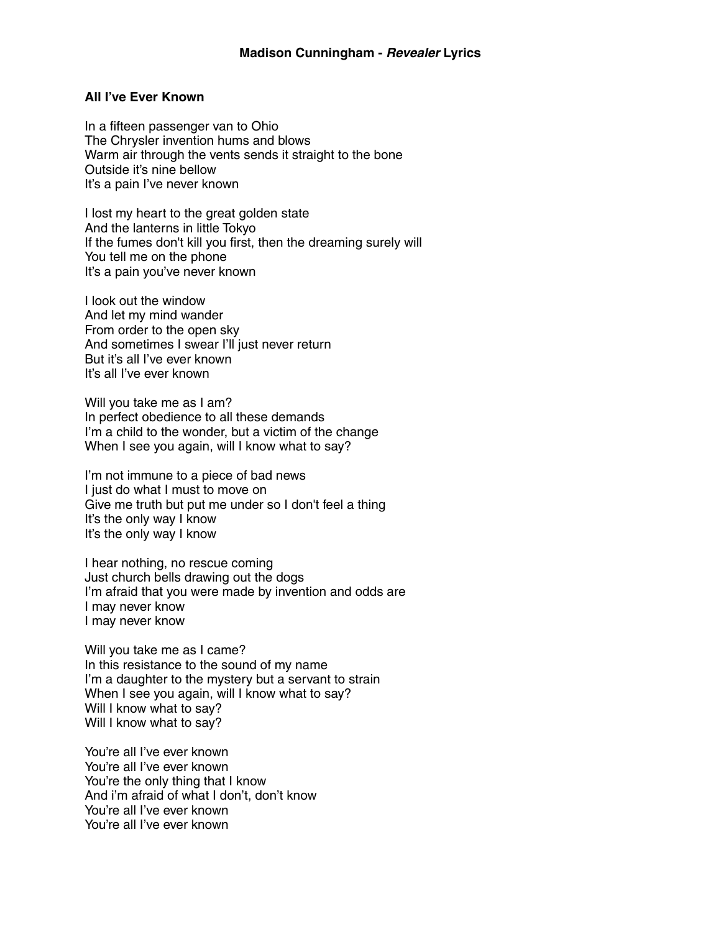### **All I've Ever Known**

In a fifteen passenger van to Ohio The Chrysler invention hums and blows Warm air through the vents sends it straight to the bone Outside it's nine bellow It's a pain I've never known

I lost my heart to the great golden state And the lanterns in little Tokyo If the fumes don't kill you first, then the dreaming surely will You tell me on the phone It's a pain you've never known

I look out the window And let my mind wander From order to the open sky And sometimes I swear I'll just never return But it's all I've ever known It's all I've ever known

Will you take me as I am? In perfect obedience to all these demands I'm a child to the wonder, but a victim of the change When I see you again, will I know what to say?

I'm not immune to a piece of bad news I just do what I must to move on Give me truth but put me under so I don't feel a thing It's the only way I know It's the only way I know

I hear nothing, no rescue coming Just church bells drawing out the dogs I'm afraid that you were made by invention and odds are I may never know I may never know

Will you take me as I came? In this resistance to the sound of my name I'm a daughter to the mystery but a servant to strain When I see you again, will I know what to say? Will I know what to say? Will I know what to say?

You're all I've ever known You're all I've ever known You're the only thing that I know And i'm afraid of what I don't, don't know You're all I've ever known You're all I've ever known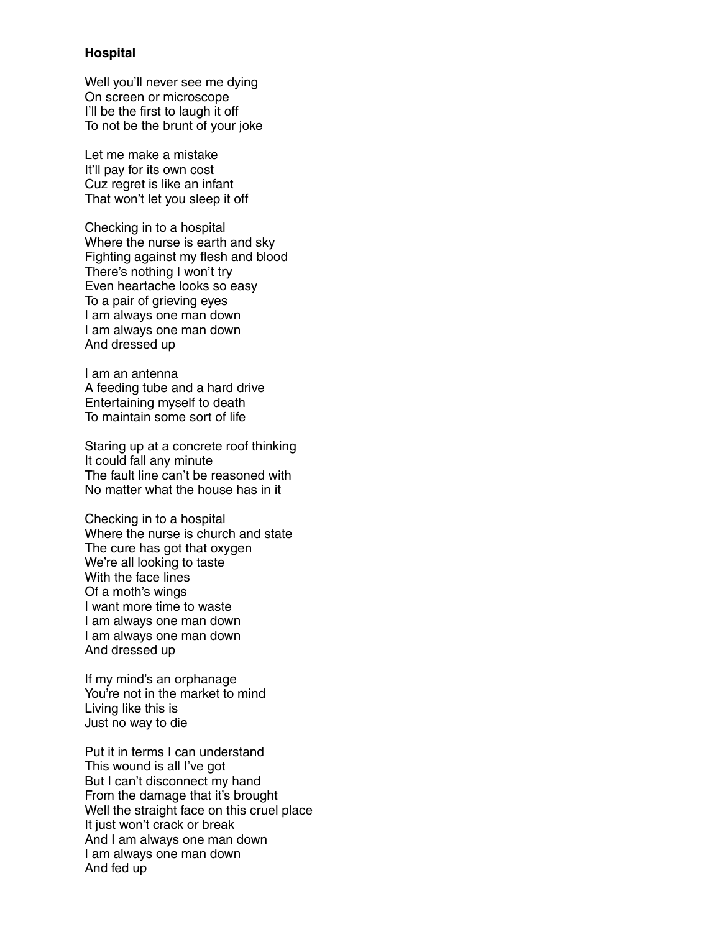#### **Hospital**

Well you'll never see me dying On screen or microscope I'll be the first to laugh it off To not be the brunt of your joke

Let me make a mistake It'll pay for its own cost Cuz regret is like an infant That won't let you sleep it off

Checking in to a hospital Where the nurse is earth and sky Fighting against my flesh and blood There's nothing I won't try Even heartache looks so easy To a pair of grieving eyes I am always one man down I am always one man down And dressed up

I am an antenna A feeding tube and a hard drive Entertaining myself to death To maintain some sort of life

Staring up at a concrete roof thinking It could fall any minute The fault line can't be reasoned with No matter what the house has in it

Checking in to a hospital Where the nurse is church and state The cure has got that oxygen We're all looking to taste With the face lines Of a moth's wings I want more time to waste I am always one man down I am always one man down And dressed up

If my mind's an orphanage You're not in the market to mind Living like this is Just no way to die

Put it in terms I can understand This wound is all I've got But I can't disconnect my hand From the damage that it's brought Well the straight face on this cruel place It just won't crack or break And I am always one man down I am always one man down And fed up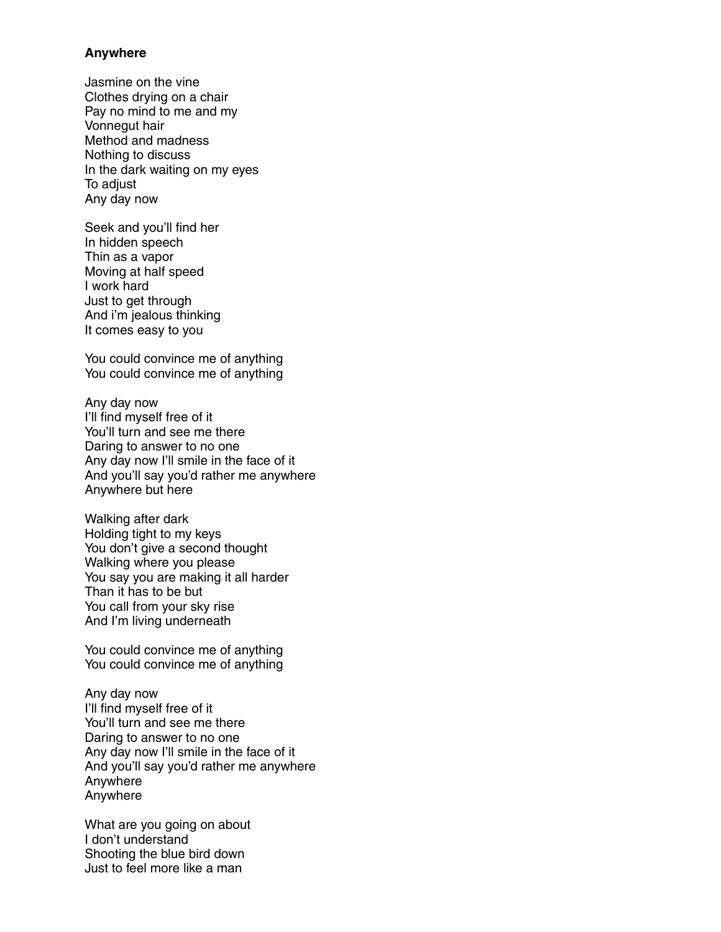## **Anywhere**

Jasmine on the vine Clothes drying on a chair Pay no mind to me and my Vonnegut hair Method and madness Nothing to discuss In the dark waiting on my eyes To adjust Any day now

Seek and you'll find her In hidden speech Thin as a vapor Moving at half speed I work hard Just to get through And i'm jealous thinking It comes easy to you

You could convince me of anything You could convince me of anything

Any day now I'll find myself free of it You'll turn and see me there Daring to answer to no one Any day now I'll smile in the face of it And you'll say you'd rather me anywhere Anywhere but here

Walking after dark Holding tight to my keys You don't give a second thought Walking where you please You say you are making it all harder Than it has to be but You call from your sky rise And I'm living underneath

You could convince me of anything You could convince me of anything

Any day now I'll find myself free of it You'll turn and see me there Daring to answer to no one Any day now I'll smile in the face of it And you'll say you'd rather me anywhere Anywhere Anywhere

What are you going on about I don't understand Shooting the blue bird down Just to feel more like a man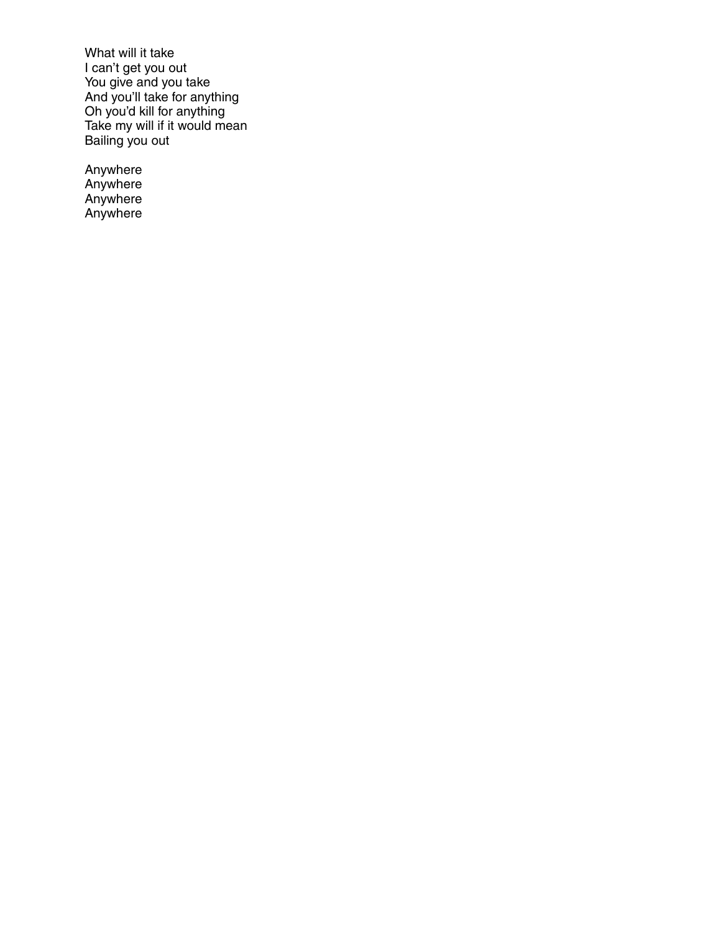What will it take I can't get you out You give and you take And you'll take for anything Oh you'd kill for anything Take my will if it would mean Bailing you out

Anywhere Anywhere Anywhere Anywhere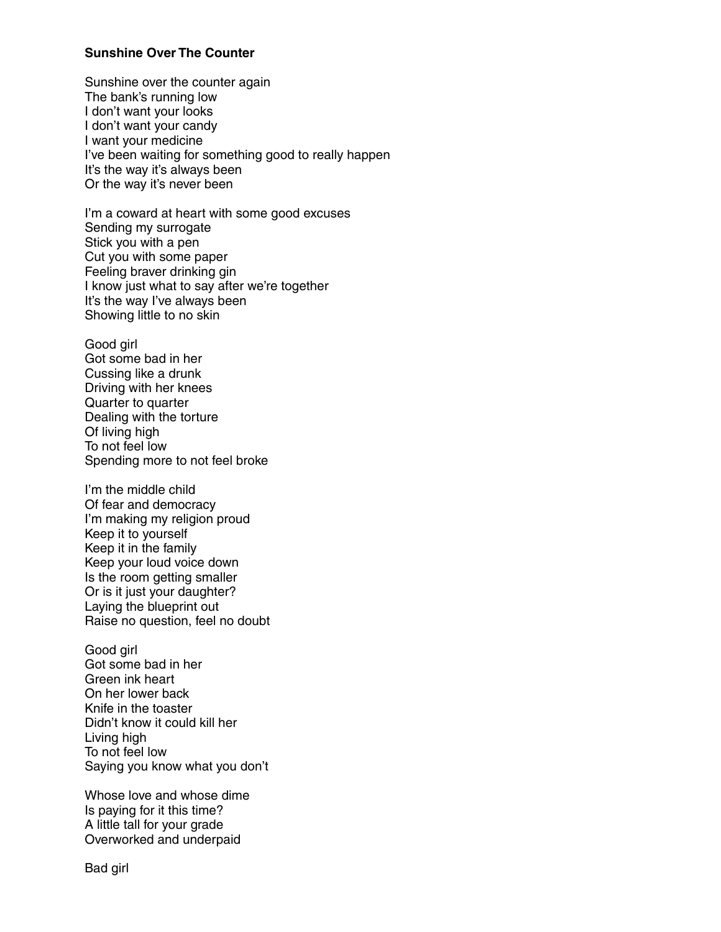#### **Sunshine Over The Counter**

Sunshine over the counter again The bank's running low I don't want your looks I don't want your candy I want your medicine I've been waiting for something good to really happen It's the way it's always been Or the way it's never been

I'm a coward at heart with some good excuses Sending my surrogate Stick you with a pen Cut you with some paper Feeling braver drinking gin I know just what to say after we're together It's the way I've always been Showing little to no skin

Good girl Got some bad in her Cussing like a drunk Driving with her knees Quarter to quarter Dealing with the torture Of living high To not feel low Spending more to not feel broke

I'm the middle child Of fear and democracy I'm making my religion proud Keep it to yourself Keep it in the family Keep your loud voice down Is the room getting smaller Or is it just your daughter? Laying the blueprint out Raise no question, feel no doubt

Good girl Got some bad in her Green ink heart On her lower back Knife in the toaster Didn't know it could kill her Living high To not feel low Saying you know what you don't

Whose love and whose dime Is paying for it this time? A little tall for your grade Overworked and underpaid

Bad girl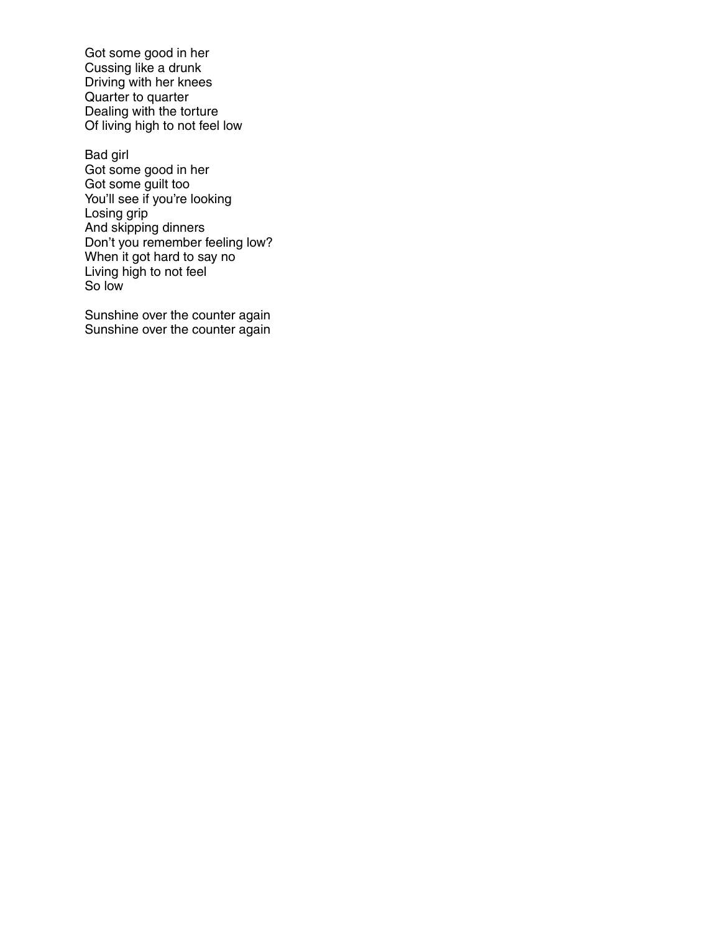Got some good in her Cussing like a drunk Driving with her knees Quarter to quarter Dealing with the torture Of living high to not feel low

Bad girl Got some good in her Got some guilt too You'll see if you're looking Losing grip And skipping dinners Don't you remember feeling low? When it got hard to say no Living high to not feel So low

Sunshine over the counter again Sunshine over the counter again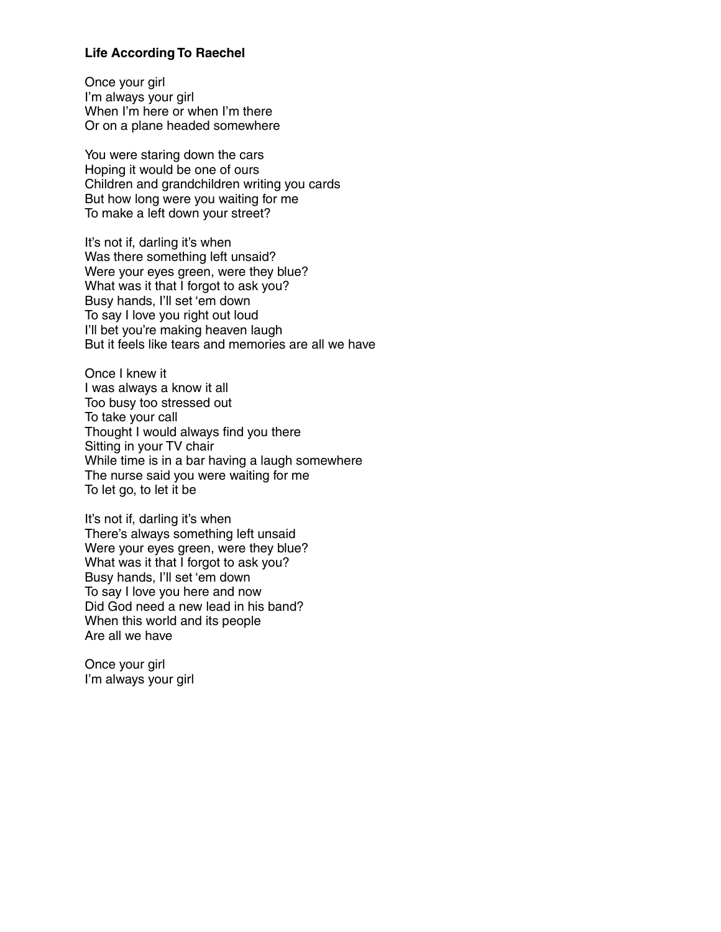# **Life According To Raechel**

Once your girl I'm always your girl When I'm here or when I'm there Or on a plane headed somewhere

You were staring down the cars Hoping it would be one of ours Children and grandchildren writing you cards But how long were you waiting for me To make a left down your street?

It's not if, darling it's when Was there something left unsaid? Were your eyes green, were they blue? What was it that I forgot to ask you? Busy hands, I'll set 'em down To say I love you right out loud I'll bet you're making heaven laugh But it feels like tears and memories are all we have

Once I knew it I was always a know it all Too busy too stressed out To take your call Thought I would always find you there Sitting in your TV chair While time is in a bar having a laugh somewhere The nurse said you were waiting for me To let go, to let it be

It's not if, darling it's when There's always something left unsaid Were your eyes green, were they blue? What was it that I forgot to ask you? Busy hands, I'll set 'em down To say I love you here and now Did God need a new lead in his band? When this world and its people Are all we have

Once your girl I'm always your girl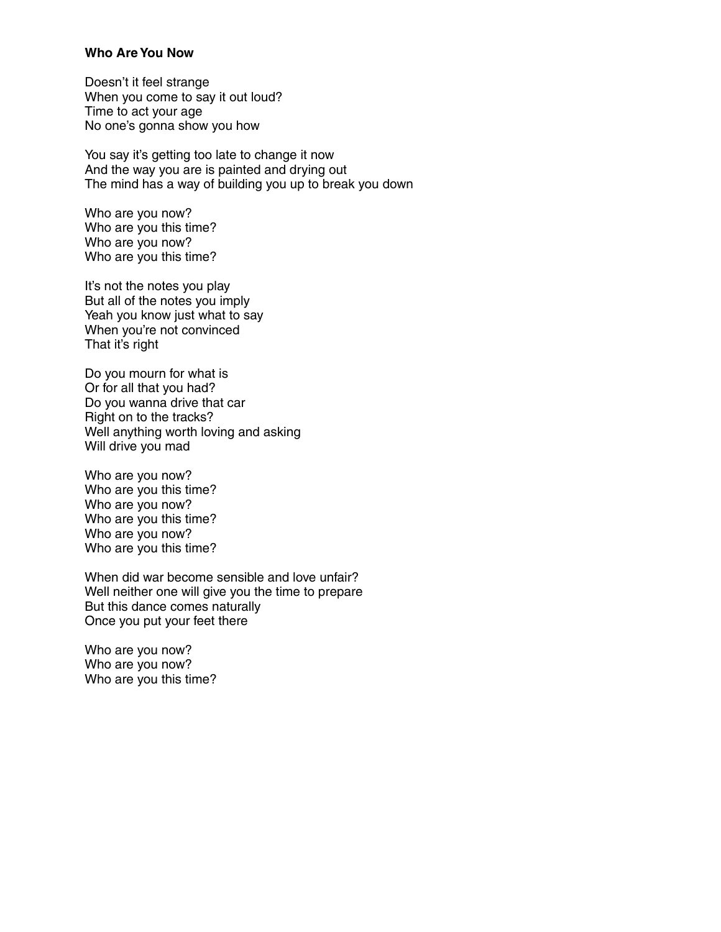#### **Who AreYou Now**

Doesn't it feel strange When you come to say it out loud? Time to act your age No one's gonna show you how

You say it's getting too late to change it now And the way you are is painted and drying out The mind has a way of building you up to break you down

Who are you now? Who are you this time? Who are you now? Who are you this time?

It's not the notes you play But all of the notes you imply Yeah you know just what to say When you're not convinced That it's right

Do you mourn for what is Or for all that you had? Do you wanna drive that car Right on to the tracks? Well anything worth loving and asking Will drive you mad

Who are you now? Who are you this time? Who are you now? Who are you this time? Who are you now? Who are you this time?

When did war become sensible and love unfair? Well neither one will give you the time to prepare But this dance comes naturally Once you put your feet there

Who are you now? Who are you now? Who are you this time?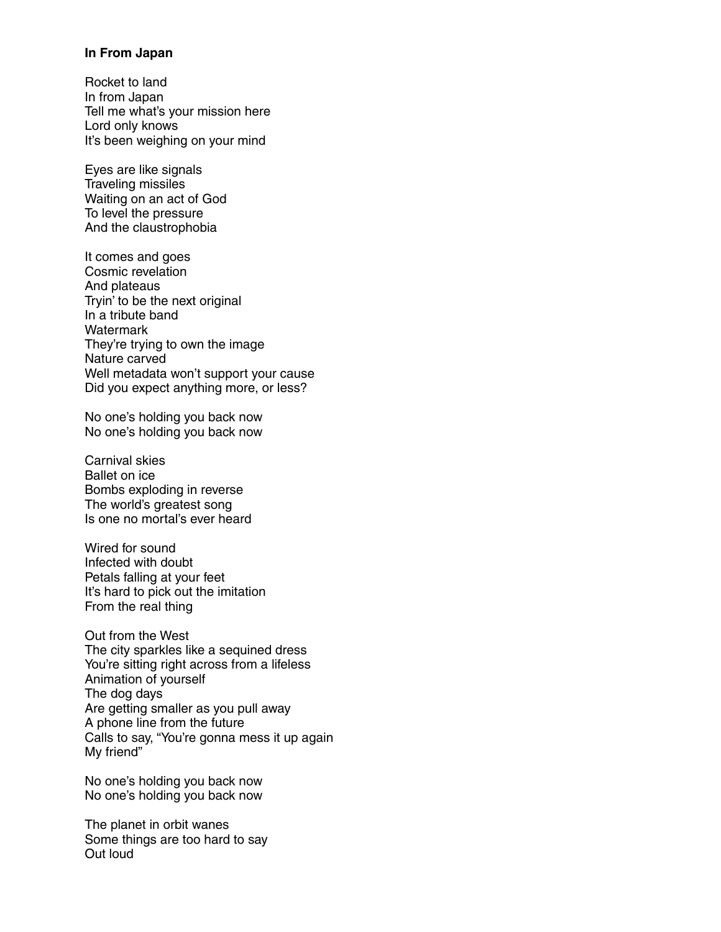### **In From Japan**

Rocket to land In from Japan Tell me what's your mission here Lord only knows It's been weighing on your mind

Eyes are like signals Traveling missiles Waiting on an act of God To level the pressure And the claustrophobia

It comes and goes Cosmic revelation And plateaus Tryin' to be the next original In a tribute band **Watermark** They're trying to own the image Nature carved Well metadata won't support your cause Did you expect anything more, or less?

No one's holding you back now No one's holding you back now

Carnival skies Ballet on ice Bombs exploding in reverse The world's greatest song Is one no mortal's ever heard

Wired for sound Infected with doubt Petals falling at your feet It's hard to pick out the imitation From the real thing

Out from the West The city sparkles like a sequined dress You're sitting right across from a lifeless Animation of yourself The dog days Are getting smaller as you pull away A phone line from the future Calls to say, "You're gonna mess it up again My friend"

No one's holding you back now No one's holding you back now

The planet in orbit wanes Some things are too hard to say Out loud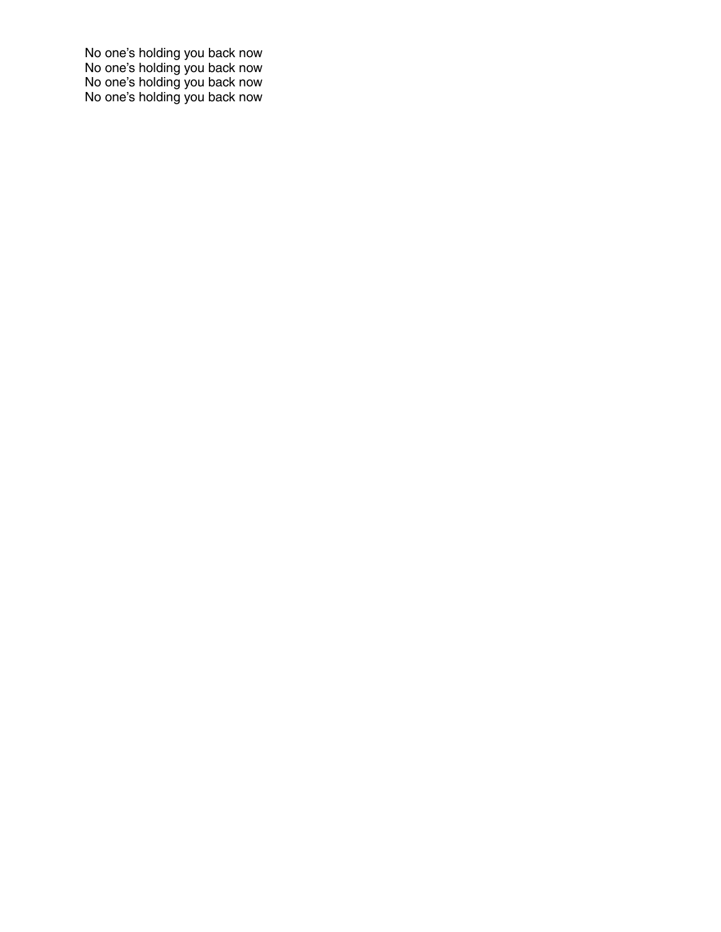No one's holding you back now No one's holding you back now No one's holding you back now No one's holding you back now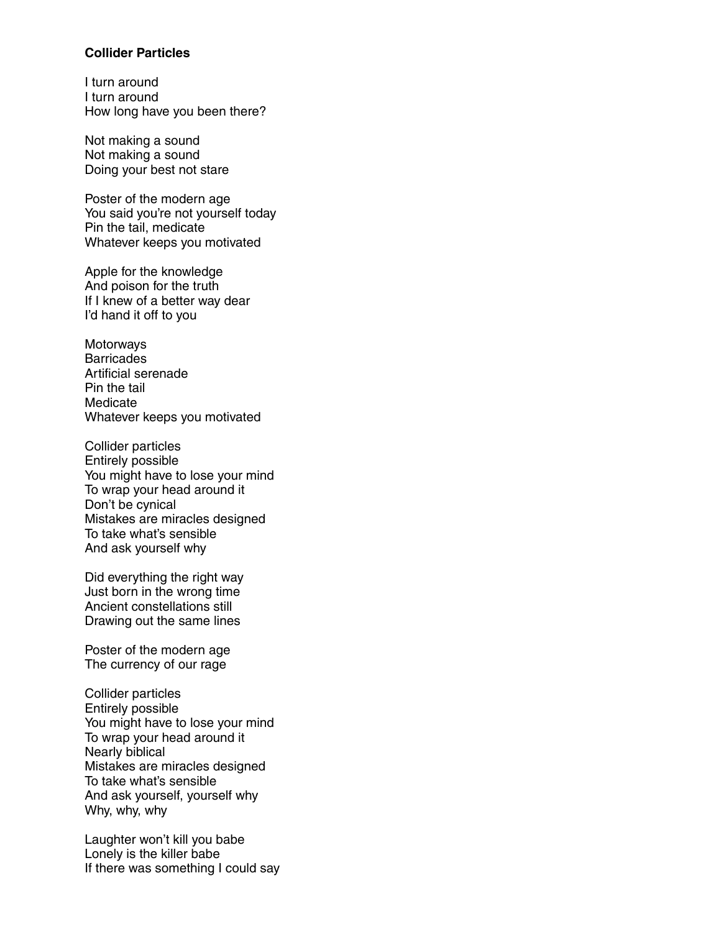### **Collider Particles**

I turn around I turn around How long have you been there?

Not making a sound Not making a sound Doing your best not stare

Poster of the modern age You said you're not yourself today Pin the tail, medicate Whatever keeps you motivated

Apple for the knowledge And poison for the truth If I knew of a better way dear I'd hand it off to you

**Motorways Barricades** Artificial serenade Pin the tail Medicate Whatever keeps you motivated

Collider particles Entirely possible You might have to lose your mind To wrap your head around it Don't be cynical Mistakes are miracles designed To take what's sensible And ask yourself why

Did everything the right way Just born in the wrong time Ancient constellations still Drawing out the same lines

Poster of the modern age The currency of our rage

Collider particles Entirely possible You might have to lose your mind To wrap your head around it Nearly biblical Mistakes are miracles designed To take what's sensible And ask yourself, yourself why Why, why, why

Laughter won't kill you babe Lonely is the killer babe If there was something I could say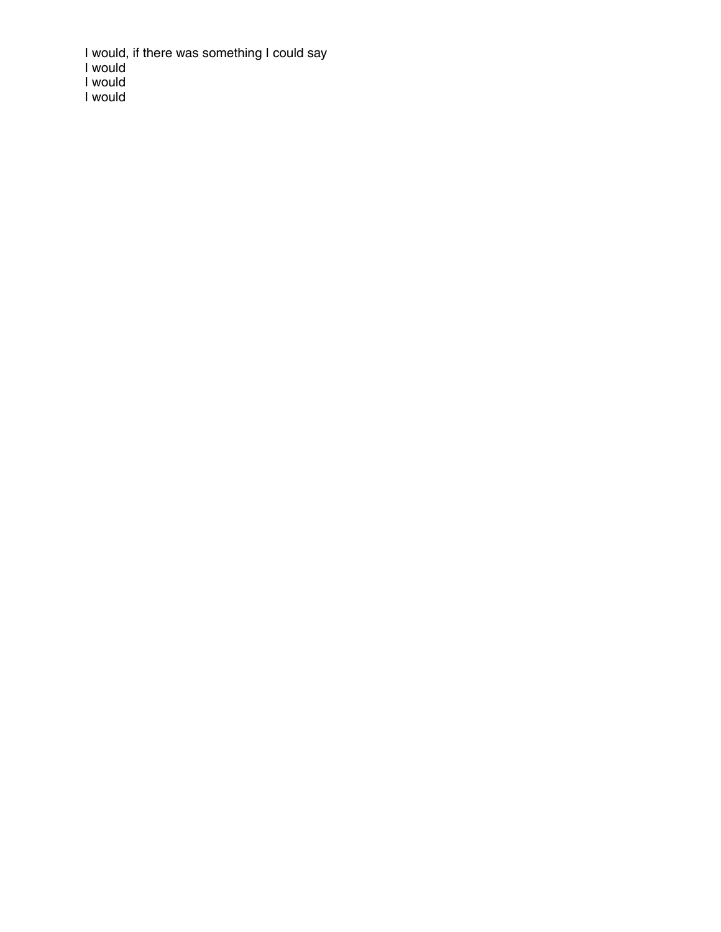I would, if there was something I could say I would I would I would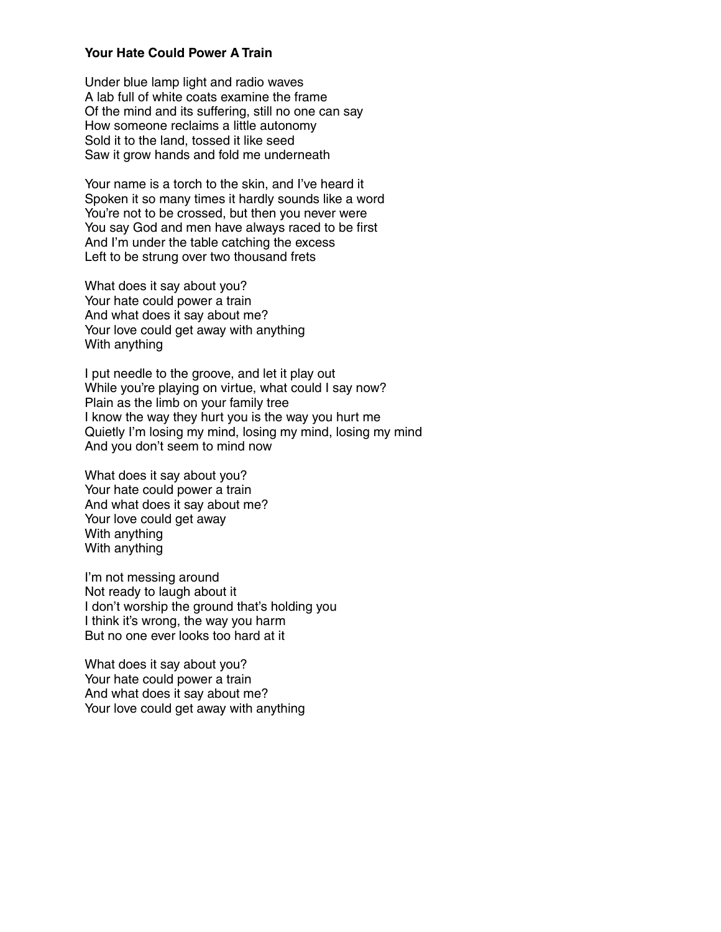# **Your Hate Could Power A Train**

Under blue lamp light and radio waves A lab full of white coats examine the frame Of the mind and its suffering, still no one can say How someone reclaims a little autonomy Sold it to the land, tossed it like seed Saw it grow hands and fold me underneath

Your name is a torch to the skin, and I've heard it Spoken it so many times it hardly sounds like a word You're not to be crossed, but then you never were You say God and men have always raced to be first And I'm under the table catching the excess Left to be strung over two thousand frets

What does it say about you? Your hate could power a train And what does it say about me? Your love could get away with anything With anything

I put needle to the groove, and let it play out While you're playing on virtue, what could I say now? Plain as the limb on your family tree I know the way they hurt you is the way you hurt me Quietly I'm losing my mind, losing my mind, losing my mind And you don't seem to mind now

What does it say about you? Your hate could power a train And what does it say about me? Your love could get away With anything With anything

I'm not messing around Not ready to laugh about it I don't worship the ground that's holding you I think it's wrong, the way you harm But no one ever looks too hard at it

What does it say about you? Your hate could power a train And what does it say about me? Your love could get away with anything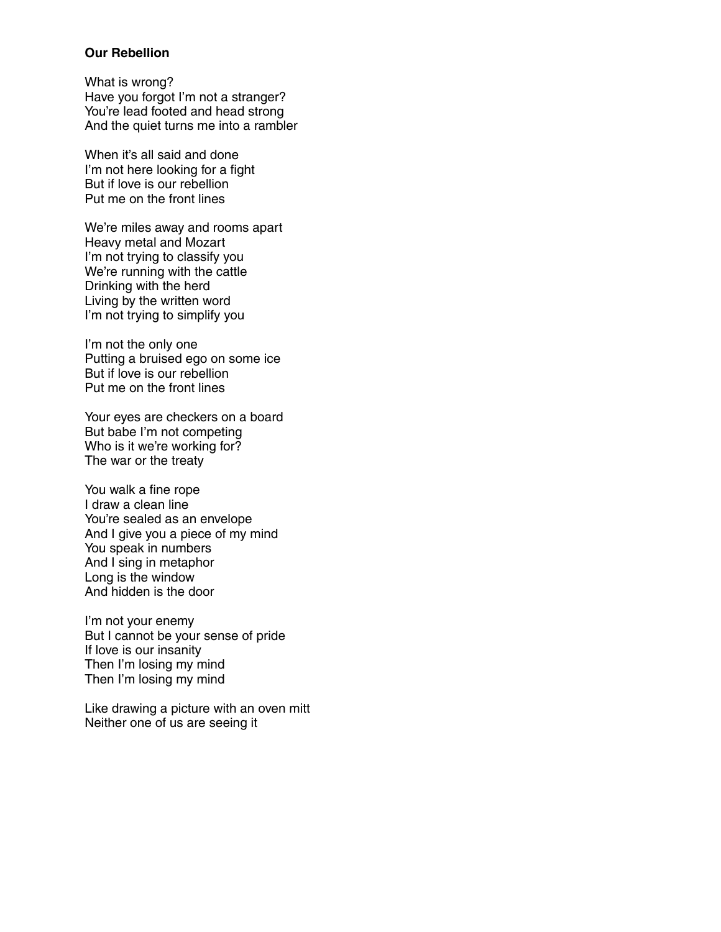# **Our Rebellion**

What is wrong? Have you forgot I'm not a stranger? You're lead footed and head strong And the quiet turns me into a rambler

When it's all said and done I'm not here looking for a fight But if love is our rebellion Put me on the front lines

We're miles away and rooms apart Heavy metal and Mozart I'm not trying to classify you We're running with the cattle Drinking with the herd Living by the written word I'm not trying to simplify you

I'm not the only one Putting a bruised ego on some ice But if love is our rebellion Put me on the front lines

Your eyes are checkers on a board But babe I'm not competing Who is it we're working for? The war or the treaty

You walk a fine rope I draw a clean line You're sealed as an envelope And I give you a piece of my mind You speak in numbers And I sing in metaphor Long is the window And hidden is the door

I'm not your enemy But I cannot be your sense of pride If love is our insanity Then I'm losing my mind Then I'm losing my mind

Like drawing a picture with an oven mitt Neither one of us are seeing it